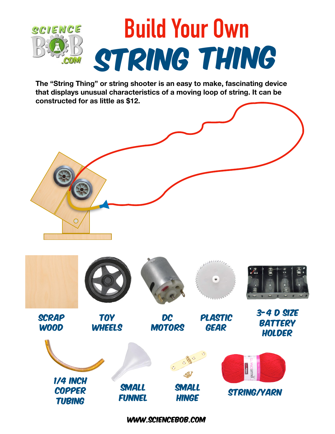

**The "String Thing" or string shooter is an easy to make, fascinating device that displays unusual characteristics of a moving loop of string. It can be constructed for as little as \$12.**



www.sciencebob.com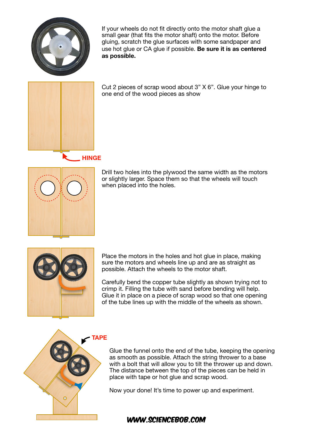

If your wheels do not fit directly onto the motor shaft glue a small gear (that fits the motor shaft) onto the motor. Before gluing, scratch the glue surfaces with some sandpaper and use hot glue or CA glue if possible. **Be sure it is as centered as possible.**



Cut 2 pieces of scrap wood about 3" X 6". Glue your hinge to one end of the wood pieces as show

**HINGE**



Drill two holes into the plywood the same width as the motors or slightly larger. Space them so that the wheels will touch when placed into the holes.



Place the motors in the holes and hot glue in place, making sure the motors and wheels line up and are as straight as possible. Attach the wheels to the motor shaft.

Carefully bend the copper tube slightly as shown trying not to crimp it. Filling the tube with sand before bending will help. Glue it in place on a piece of scrap wood so that one opening of the tube lines up with the middle of the wheels as shown.



#### **TAPE**

Glue the funnel onto the end of the tube, keeping the opening as smooth as possible. Attach the string thrower to a base with a bolt that will allow you to tilt the thrower up and down. The distance between the top of the pieces can be held in place with tape or hot glue and scrap wood.

Now your done! It's time to power up and experiment.

#### www.sciencebob.com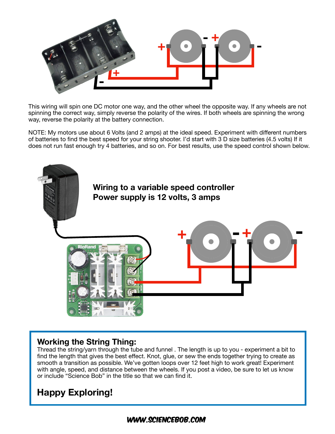

This wiring will spin one DC motor one way, and the other wheel the opposite way. If any wheels are not spinning the correct way, simply reverse the polarity of the wires. If both wheels are spinning the wrong way, reverse the polarity at the battery connection.

NOTE: My motors use about 6 Volts (and 2 amps) at the ideal speed. Experiment with different numbers of batteries to find the best speed for your string shooter. I'd start with 3 D size batteries (4.5 volts) If it does not run fast enough try 4 batteries, and so on. For best results, use the speed control shown below.



## **Working the String Thing:**

Thread the string/yarn through the tube and funnel . The length is up to you - experiment a bit to find the length that gives the best effect. Knot, glue, or sew the ends together trying to create as smooth a transition as possible. We've gotten loops over 12 feet high to work great! Experiment with angle, speed, and distance between the wheels. If you post a video, be sure to let us know or include "Science Bob" in the title so that we can find it.

# **Happy Exploring!**

## www.sciencebob.com